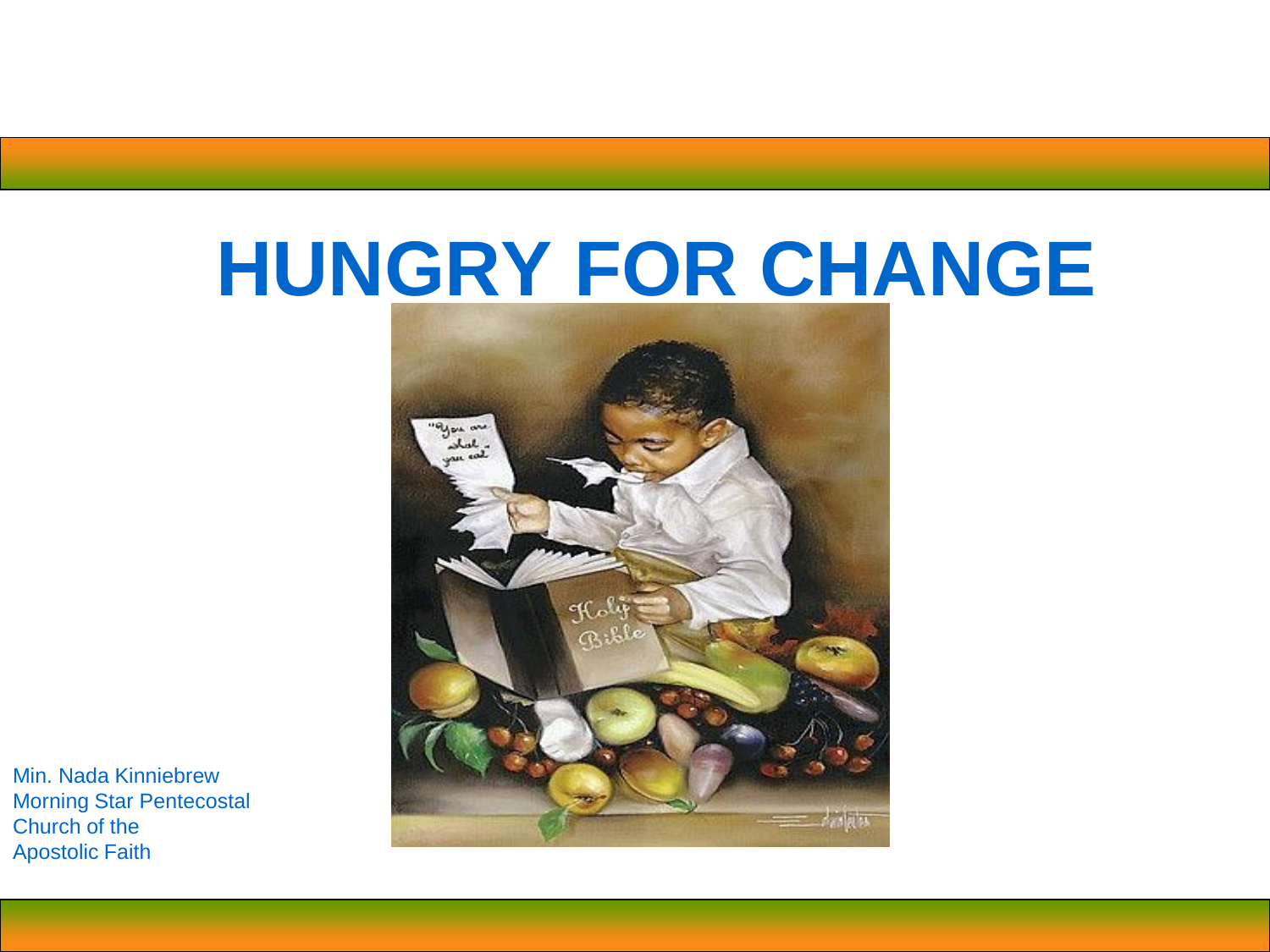# **HUNGRY FOR CHANGE**



Min. Nada Kinniebrew Morning Star Pentecostal Church of the Apostolic Faith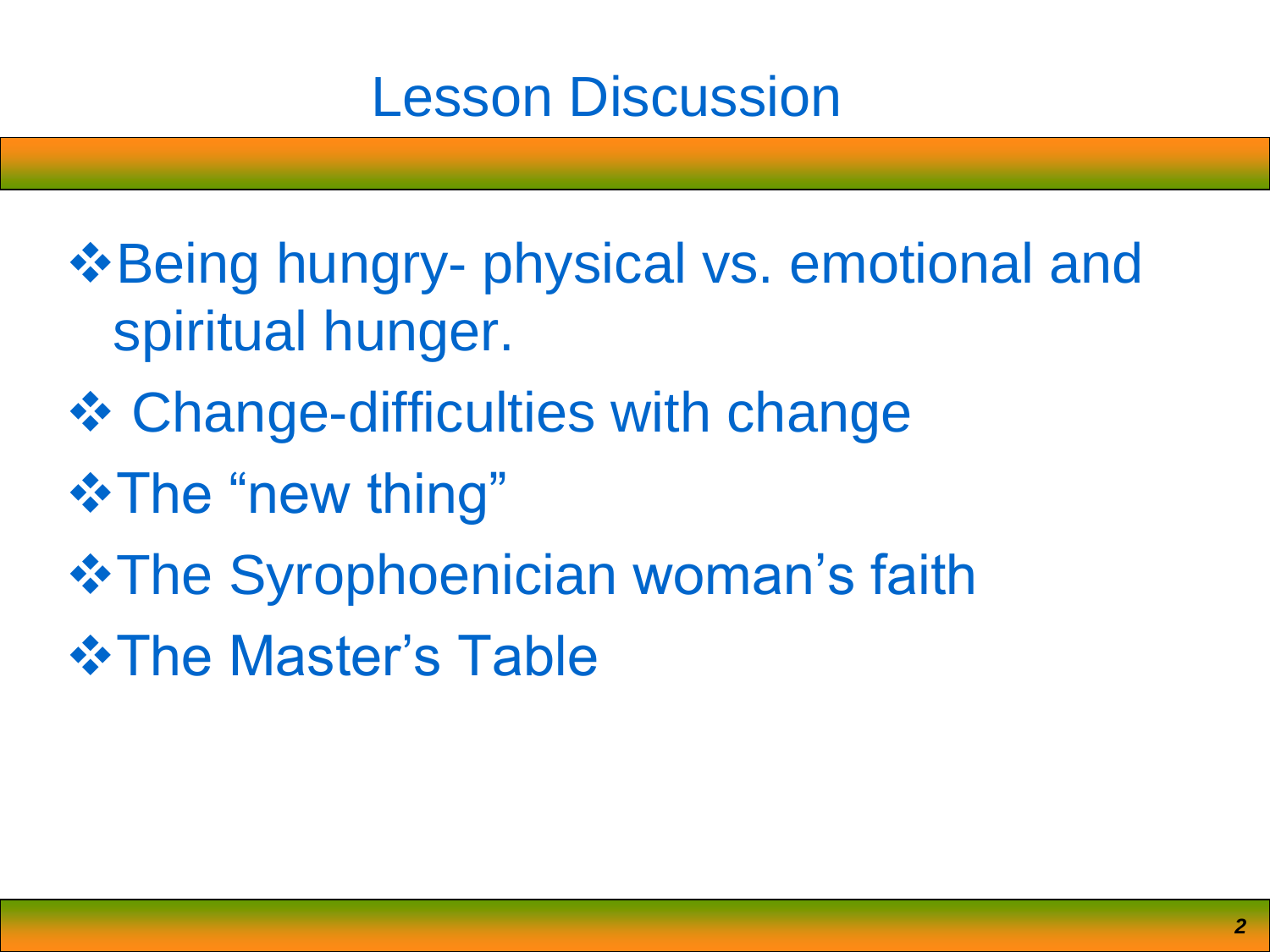## Lesson Discussion

- **\*Being hungry- physical vs. emotional and** spiritual hunger.
- **❖ Change-difficulties with change**
- **☆The "new thing"**
- **❖ The Syrophoenician woman's faith**
- **☆The Master's Table**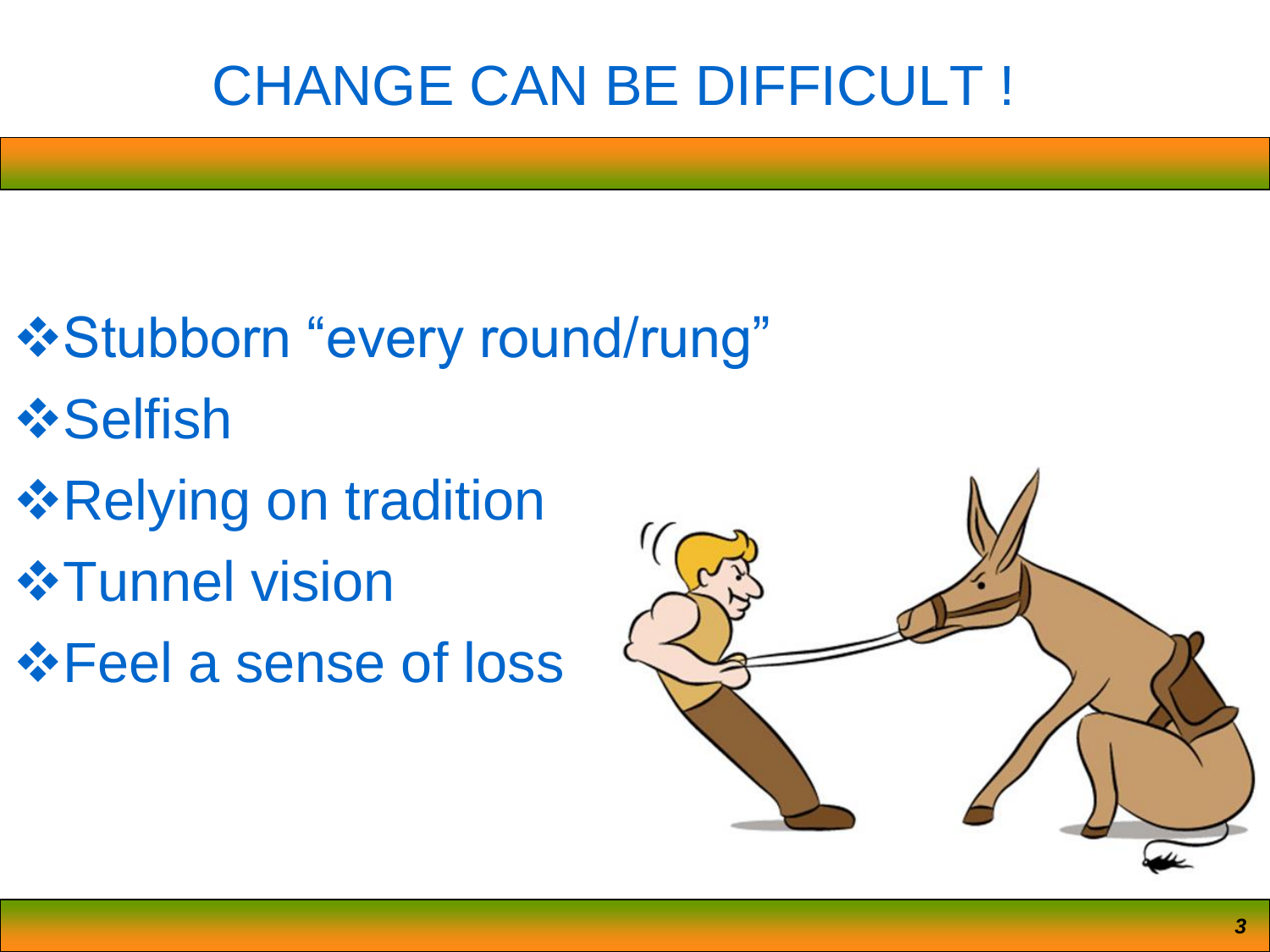# CHANGE CAN BE DIFFICULT !

- **\* Stubborn "every round/rung"** *<u>* Selfish</u>
- *❖***Relying on tradition**
- *<b>* Tunnel vision
- Feel a sense of loss

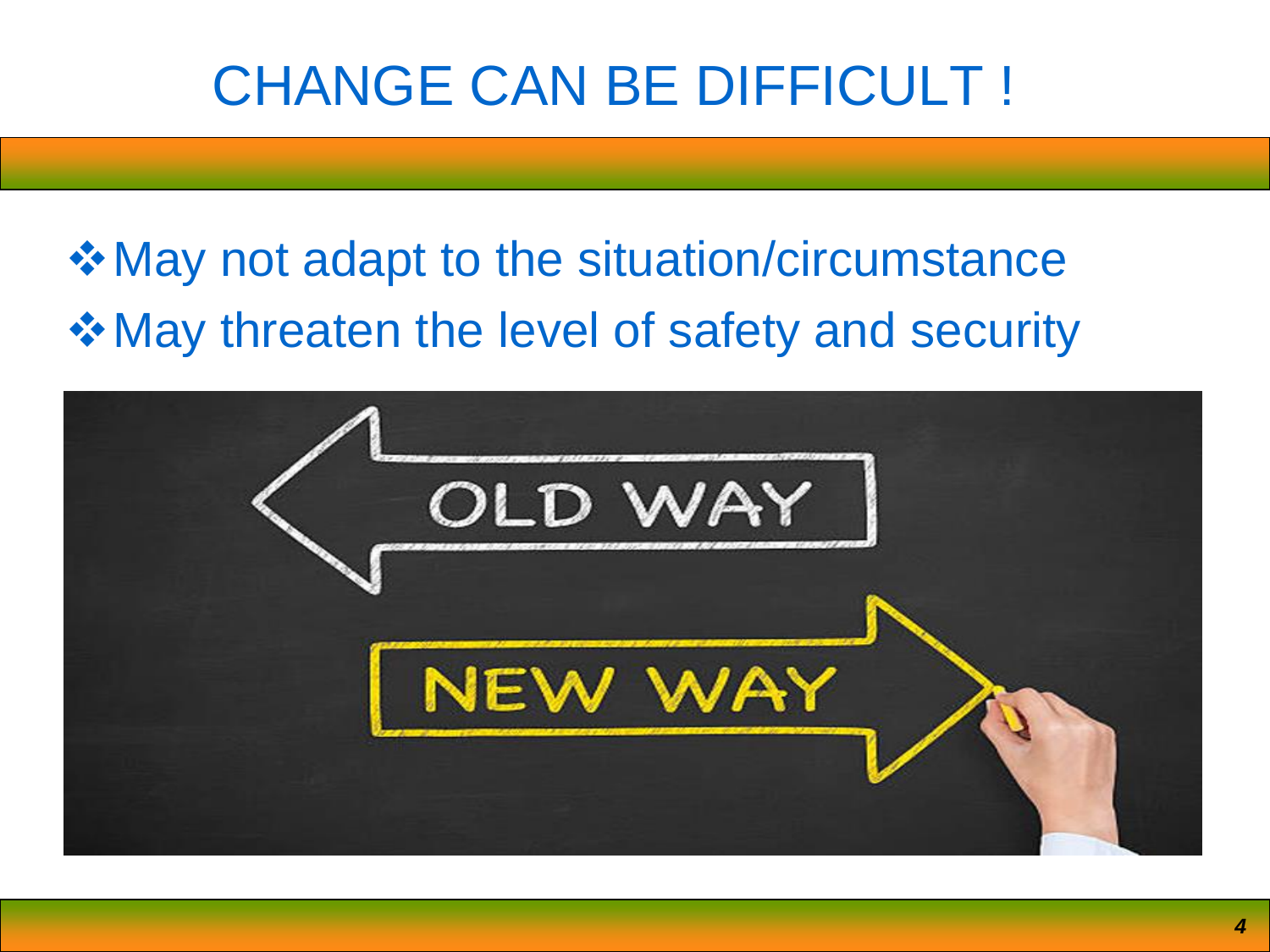# CHANGE CAN BE DIFFICULT !

 $\diamond$  **May not adapt to the situation/circumstance** May threaten the level of safety and security

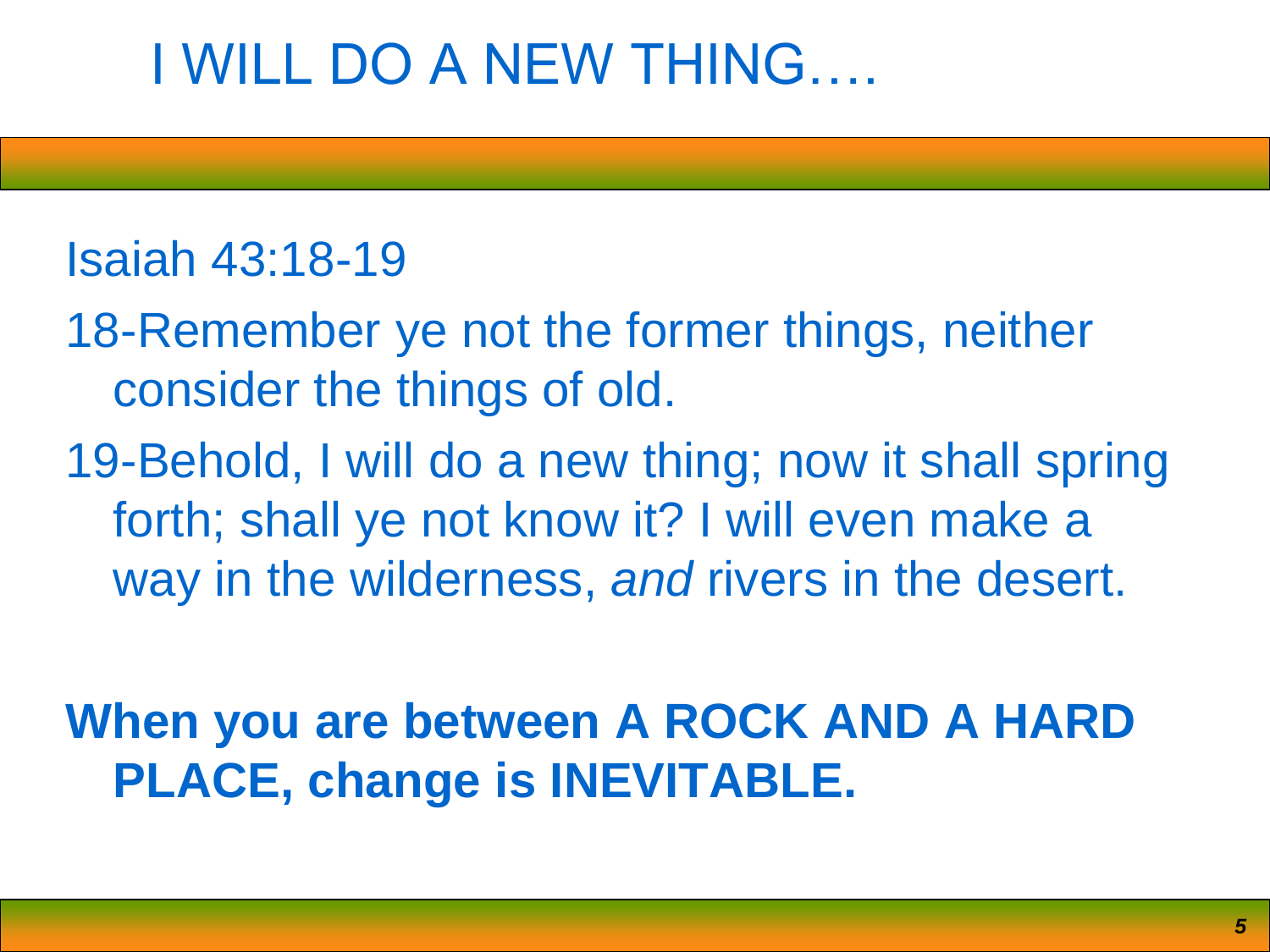## I WILL DO A NEW THING….

#### Isaiah 43:18-19

- 18-Remember ye not the former things, neither consider the things of old.
- 19-Behold, I will do a new thing; now it shall spring forth; shall ye not know it? I will even make a way in the wilderness, *and* rivers in the desert.

**When you are between A ROCK AND A HARD PLACE, change is INEVITABLE.**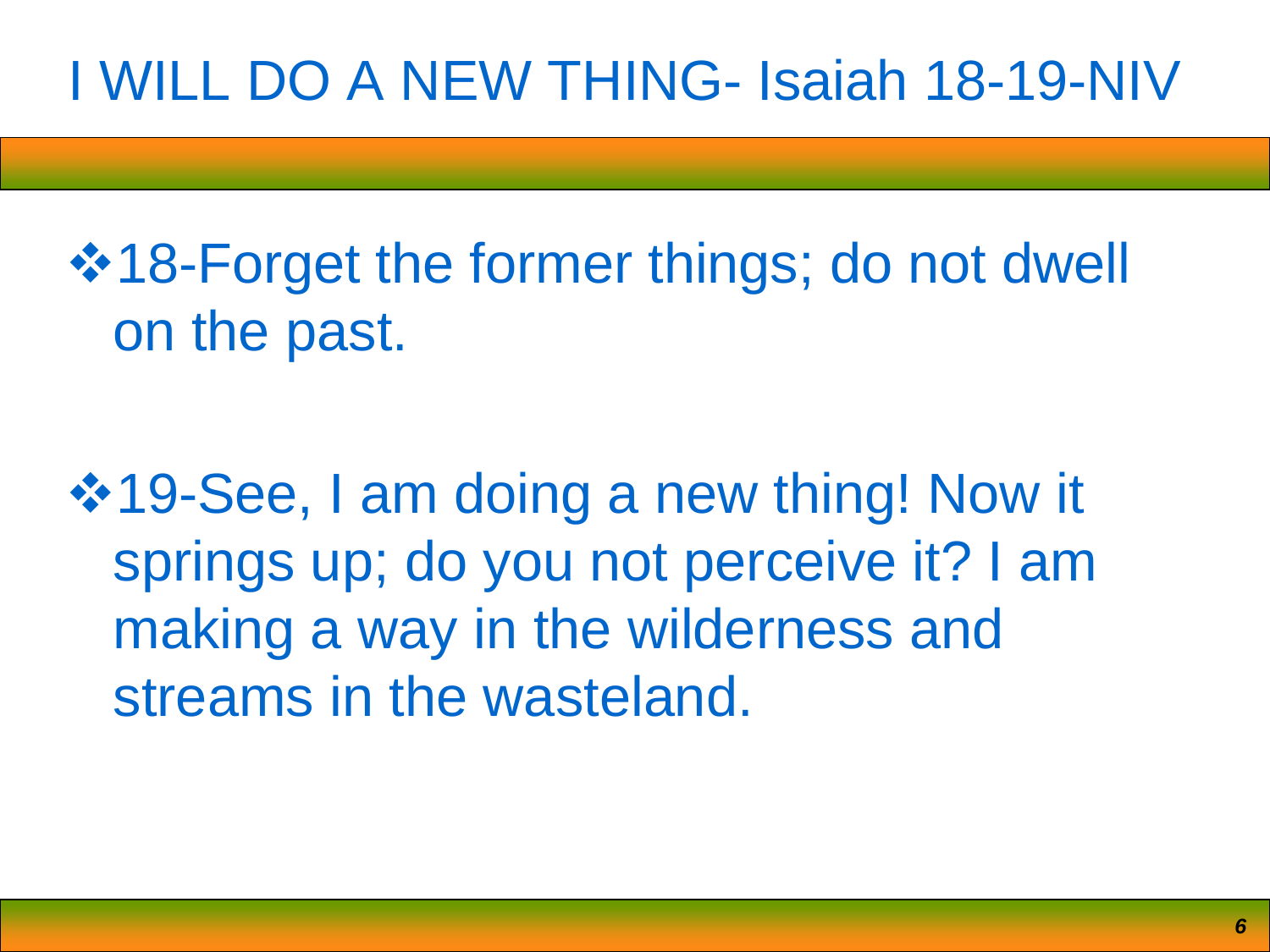## I WILL DO A NEW THING- Isaiah 18-19-NIV

**\*18-Forget the former things; do not dwell** on the past.

**\*19-See, I am doing a new thing! Now it** springs up; do you not perceive it? I am making a way in the wilderness and streams in the wasteland.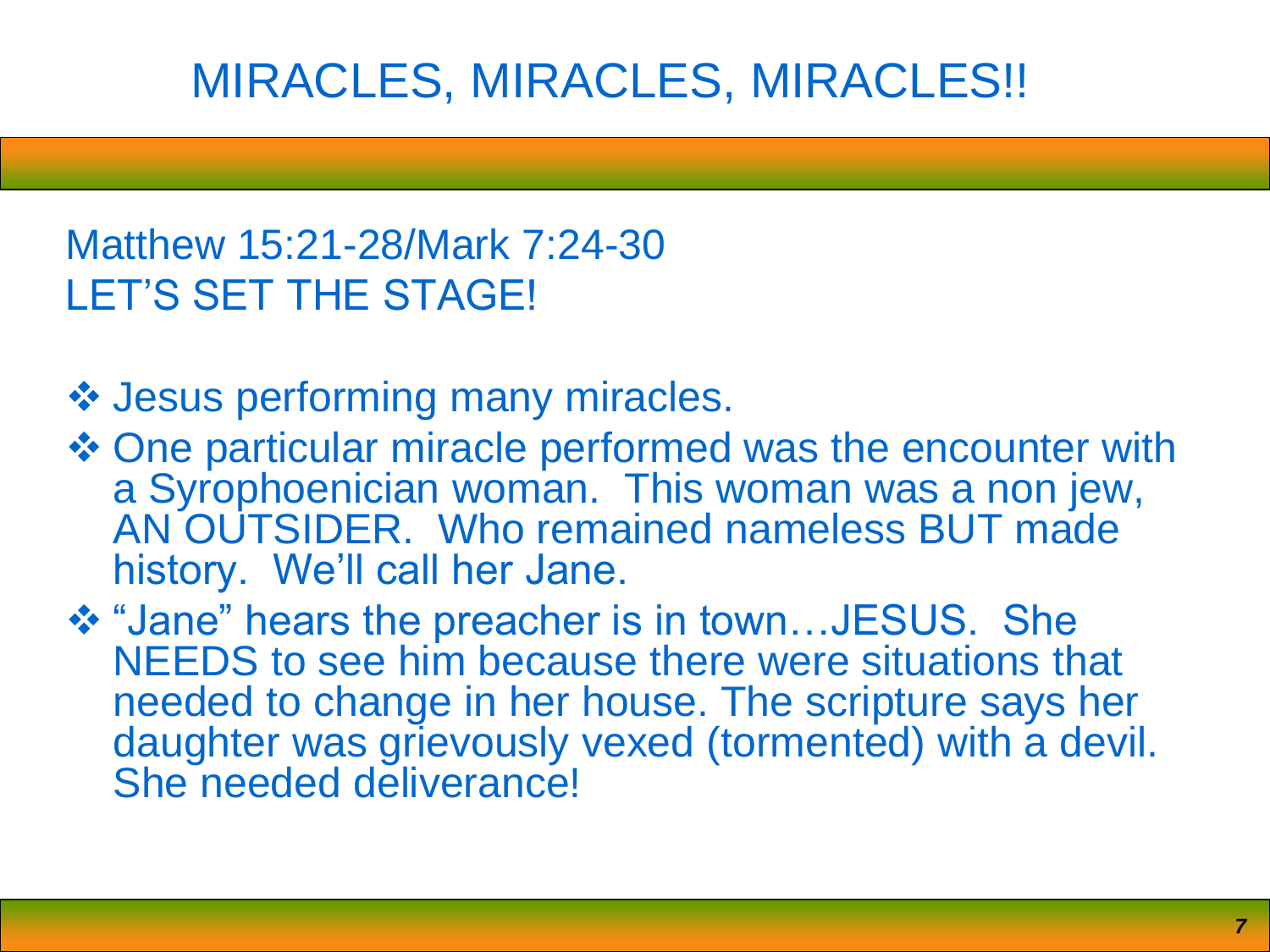### MIRACLES, MIRACLES, MIRACLES!!

#### Matthew 15:21-28/Mark 7:24-30 LET'S SET THE STAGE!

- ❖ Jesus performing many miracles.
- ◆ One particular miracle performed was the encounter with a Syrophoenician woman. This woman was a non jew, AN OUTSIDER. Who remained nameless BUT made history. We'll call her Jane.
- "Jane" hears the preacher is in town…JESUS. She NEEDS to see him because there were situations that needed to change in her house. The scripture says her daughter was grievously vexed (tormented) with a devil. She needed deliverance!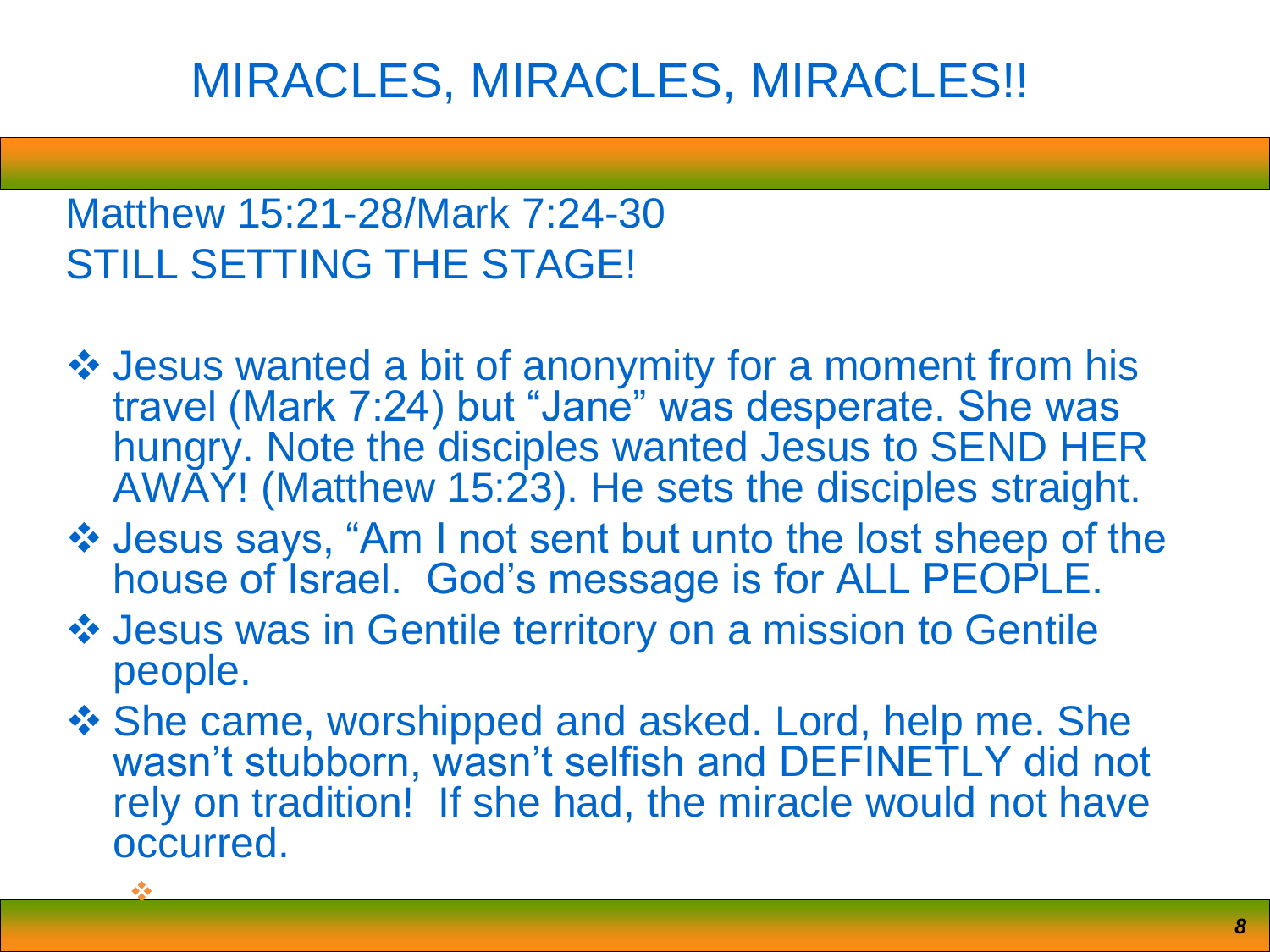### MIRACLES, MIRACLES, MIRACLES!!

#### Matthew 15:21-28/Mark 7:24-30 STILL SETTING THE STAGE!

 $\frac{1}{2}$ 

- Jesus wanted a bit of anonymity for a moment from his travel (Mark 7:24) but "Jane" was desperate. She was hungry. Note the disciples wanted Jesus to SEND HER AWAY! (Matthew 15:23). He sets the disciples straight.
- Jesus says, "Am I not sent but unto the lost sheep of the house of Israel. God's message is for ALL PEOPLE.
- Jesus was in Gentile territory on a mission to Gentile people.
- ◆ She came, worshipped and asked. Lord, help me. She wasn't stubborn, wasn't selfish and DEFINETLY did not rely on tradition! If she had, the miracle would not have occurred.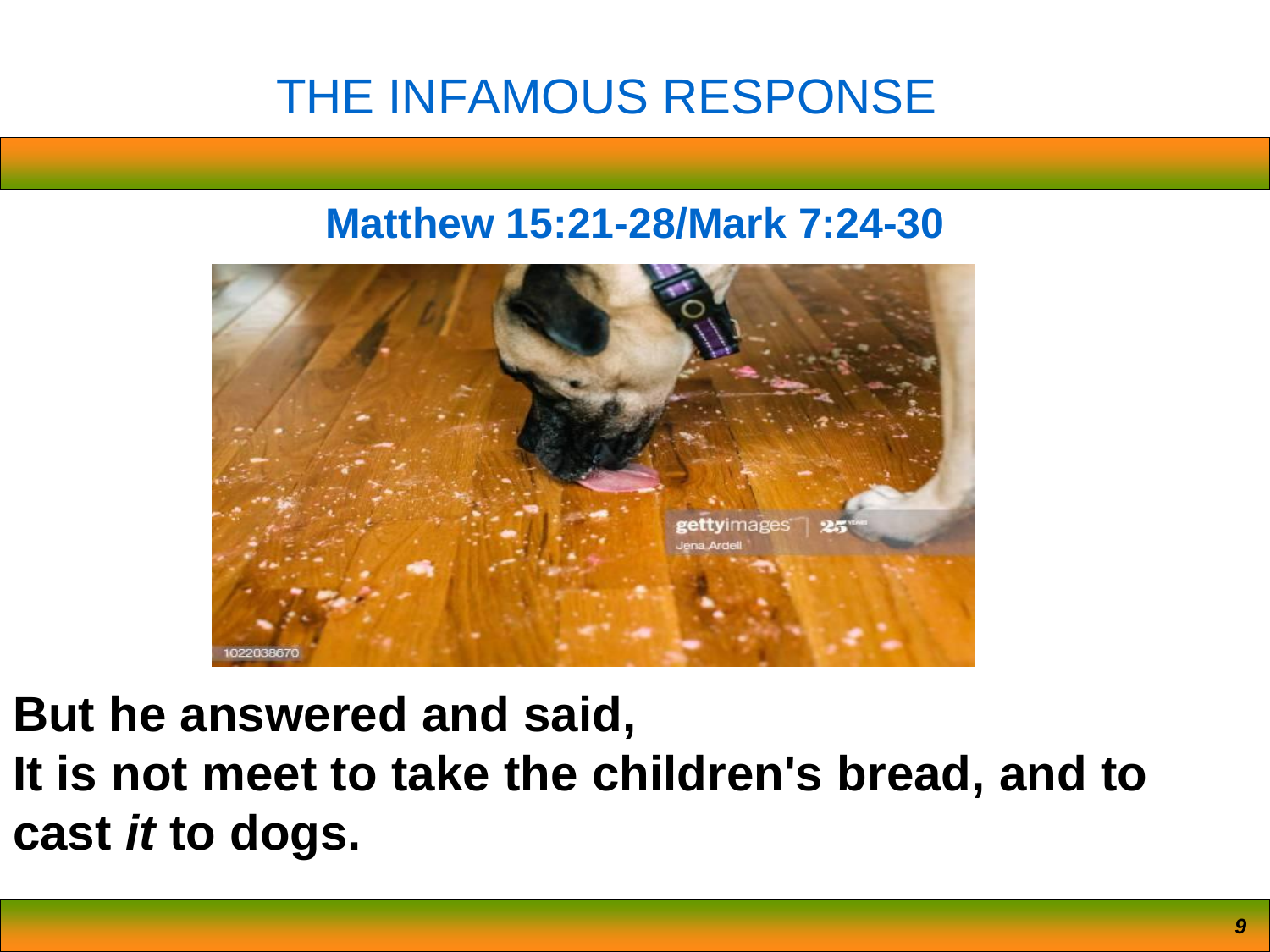### THE INFAMOUS RESPONSE

#### **Matthew 15:21-28/Mark 7:24-30**



**But he answered and said, It is not meet to take the children's bread, and to cast** *it* **to dogs.**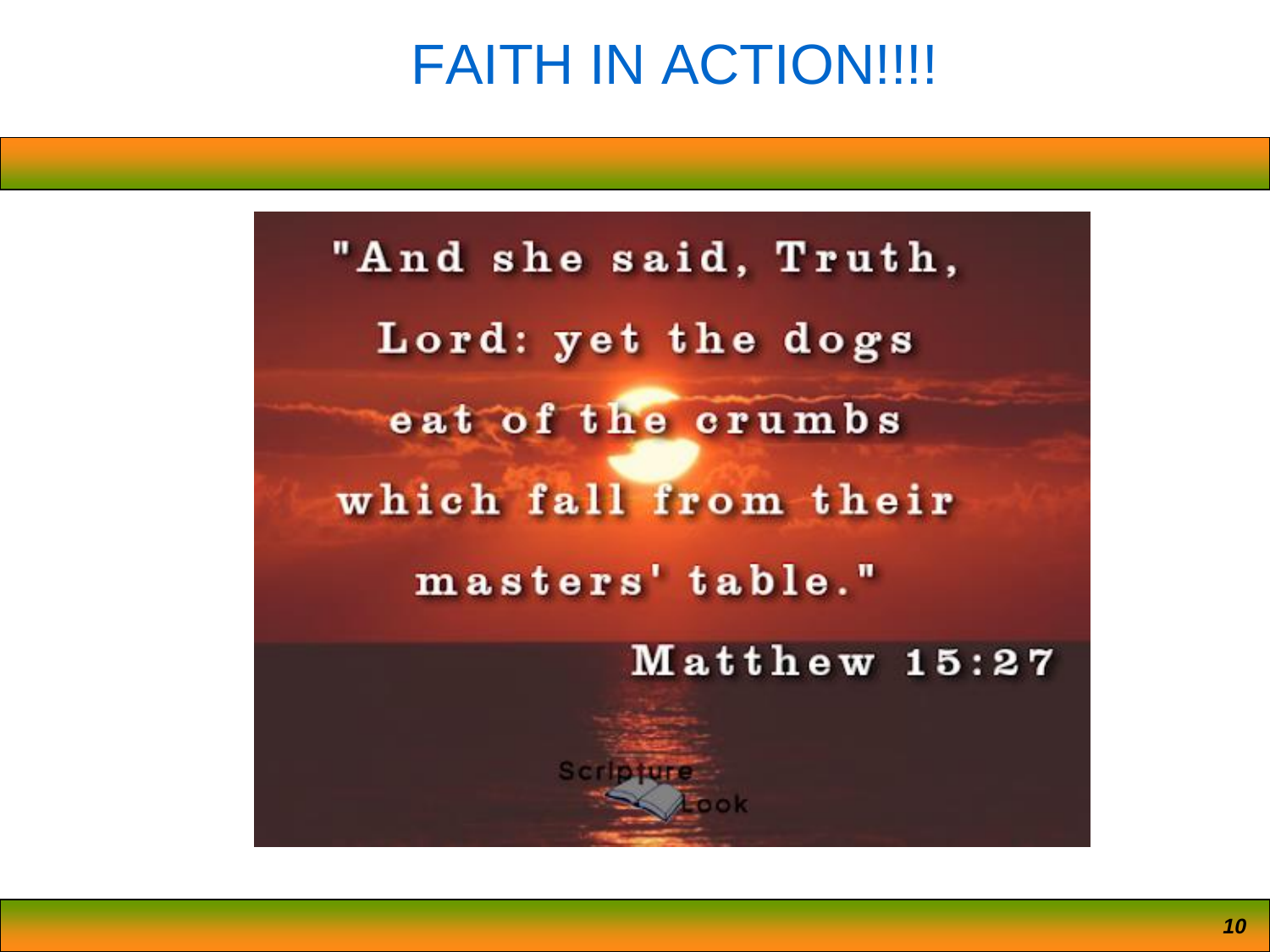## FAITH IN ACTION!!!!

"And she said, Truth, Lord: yet the dogs eat of the crumbs which fall from their masters' table." Matthew 15:27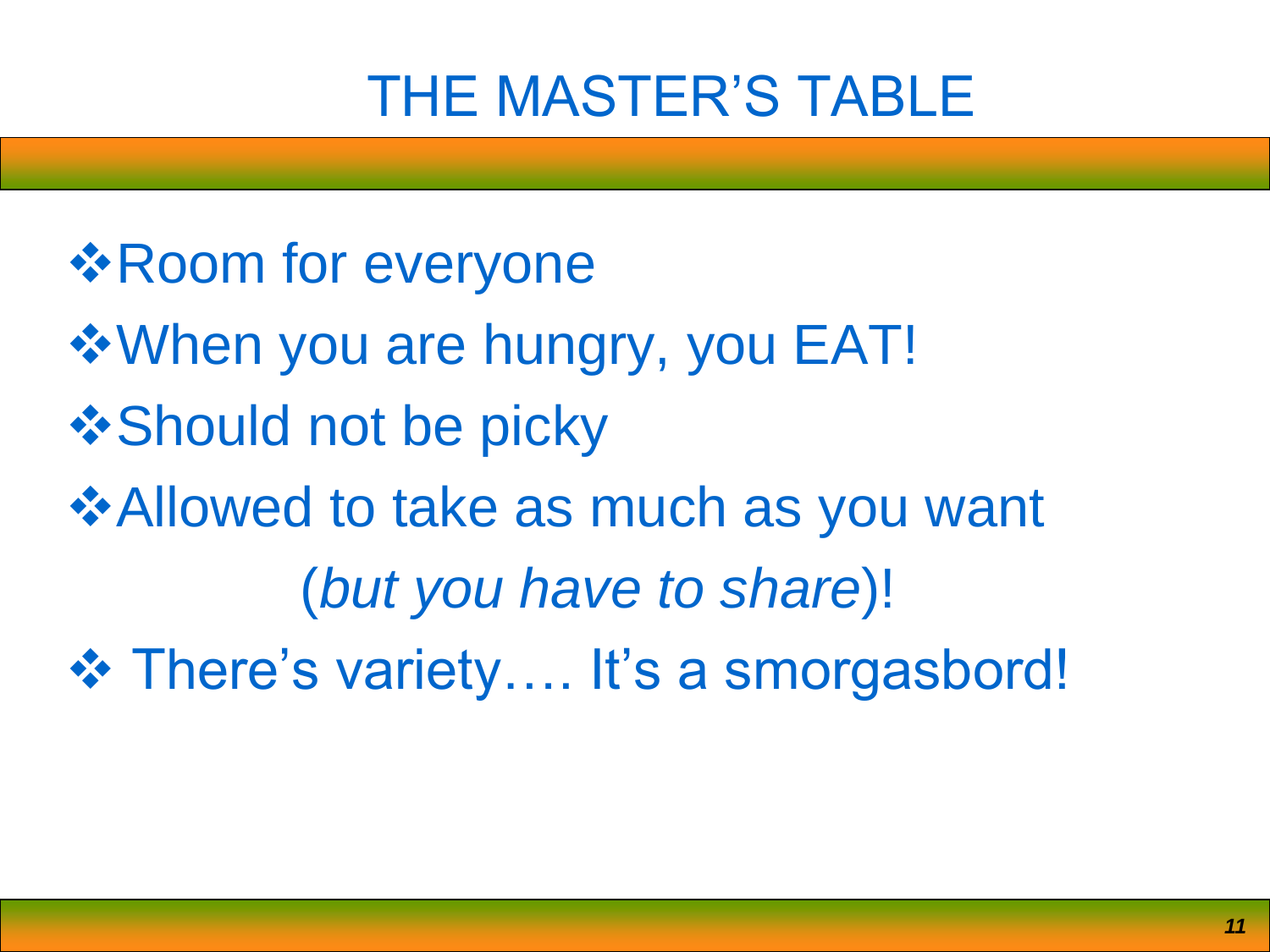## THE MASTER'S TABLE

- *<b>* \* Room for everyone
- When you are hungry, you EAT!
- $\cdot$  **Should not be picky**
- **☆Allowed to take as much as you want** (*but you have to share*)!
- **❖ There's variety.... It's a smorgasbord!**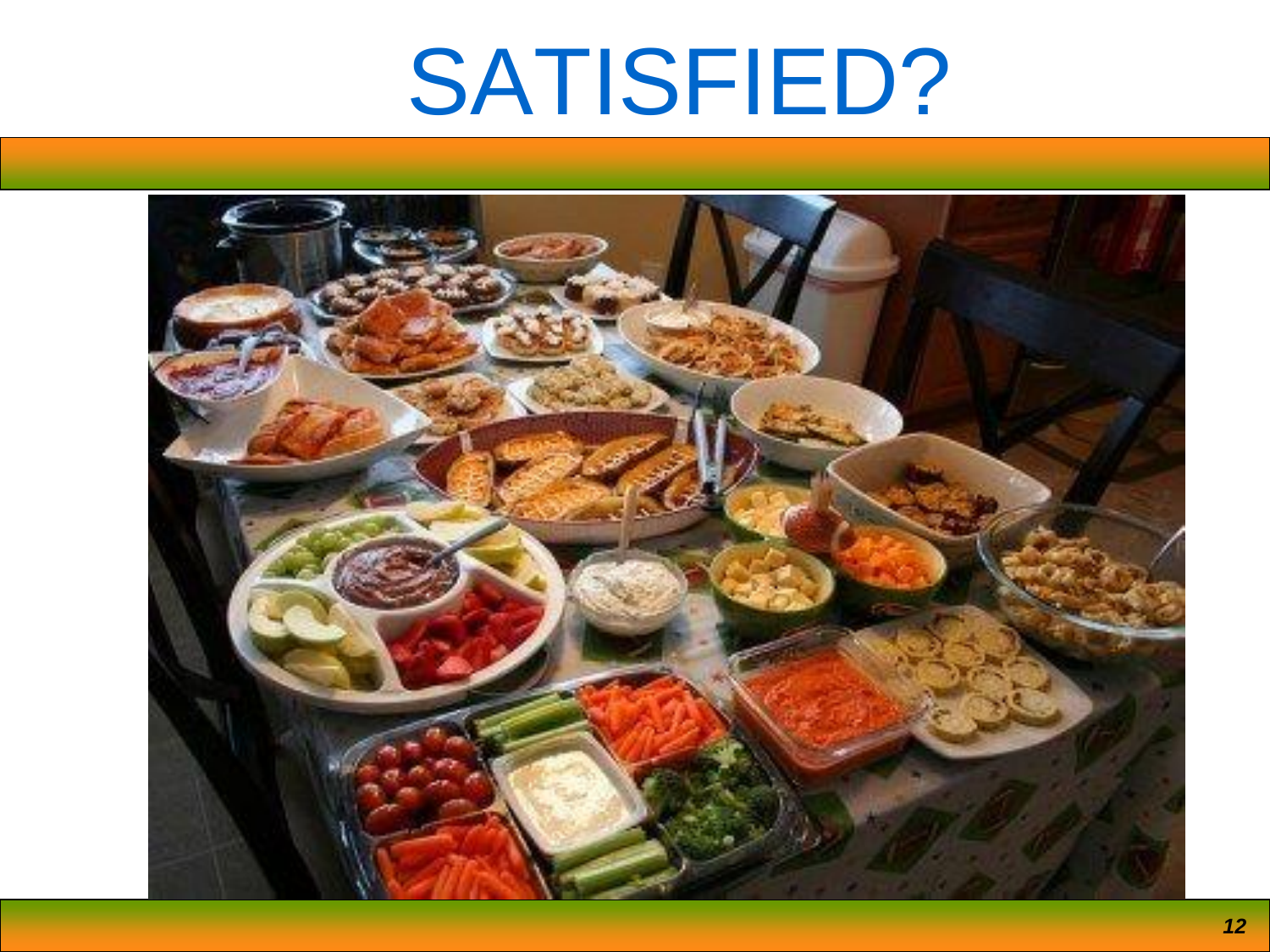# SATISFIED?